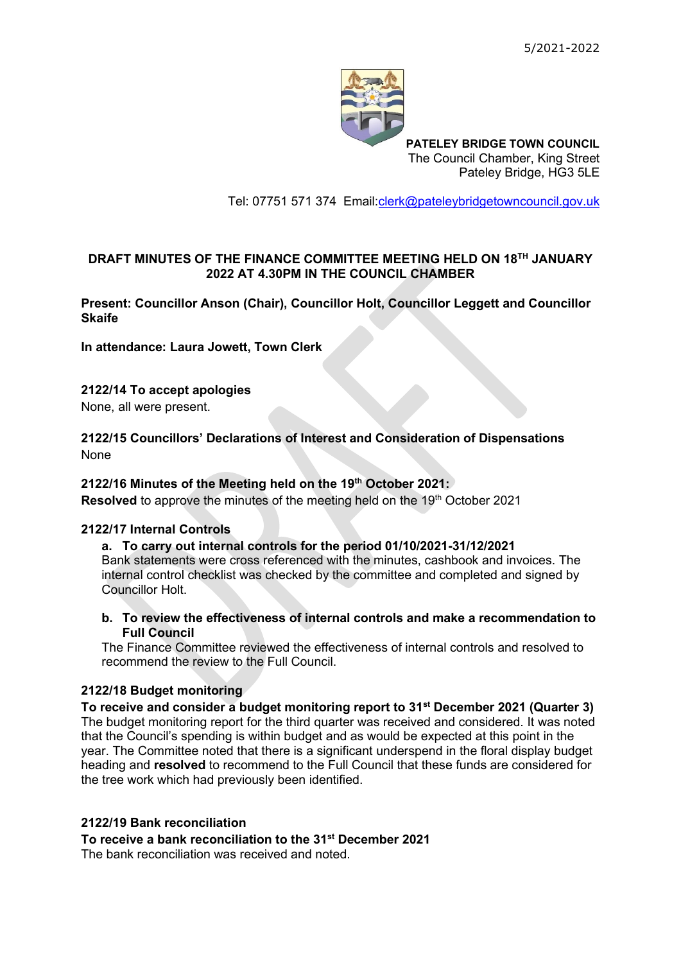

**PATELEY BRIDGE TOWN COUNCIL** The Council Chamber, King Street Pateley Bridge, HG3 5LE

Tel: 07751 571 374 Email[:clerk@pateleybridgetowncouncil.gov.uk](mailto:clerk@pateleybridgetowncouncil.gov.uk)

# **DRAFT MINUTES OF THE FINANCE COMMITTEE MEETING HELD ON 18 TH JANUARY 2022 AT 4.30PM IN THE COUNCIL CHAMBER**

**Present: Councillor Anson (Chair), Councillor Holt, Councillor Leggett and Councillor Skaife**

**In attendance: Laura Jowett, Town Clerk**

# **2122/14 To accept apologies**

None, all were present.

# **2122/15 Councillors' Declarations of Interest and Consideration of Dispensations** None

#### **2122/16 Minutes of the Meeting held on the 19th October 2021:**

**Resolved** to approve the minutes of the meeting held on the 19<sup>th</sup> October 2021

#### **2122/17 Internal Controls**

#### **a. To carry out internal controls for the period 01/10/2021-31/12/2021**

Bank statements were cross referenced with the minutes, cashbook and invoices. The internal control checklist was checked by the committee and completed and signed by Councillor Holt.

**b. To review the effectiveness of internal controls and make a recommendation to Full Council**

The Finance Committee reviewed the effectiveness of internal controls and resolved to recommend the review to the Full Council.

### **2122/18 Budget monitoring**

**To receive and consider a budget monitoring report to 31st December 2021 (Quarter 3)** The budget monitoring report for the third quarter was received and considered. It was noted that the Council's spending is within budget and as would be expected at this point in the year. The Committee noted that there is a significant underspend in the floral display budget heading and **resolved** to recommend to the Full Council that these funds are considered for the tree work which had previously been identified.

### **2122/19 Bank reconciliation**

**To receive a bank reconciliation to the 31st December 2021**

The bank reconciliation was received and noted.